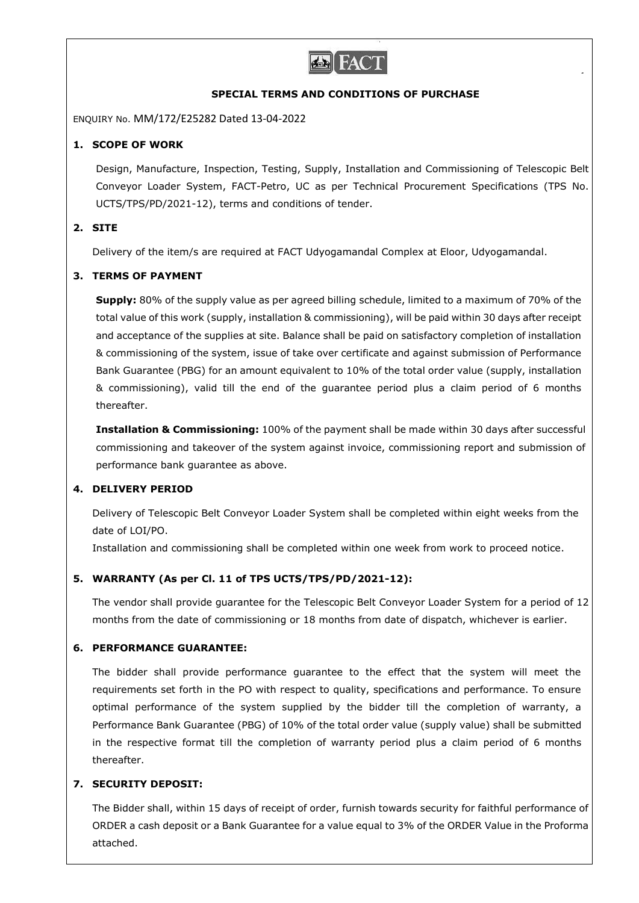

### **SPECIAL TERMS AND CONDITIONS OF PURCHASE**

ENQUIRY No. MM/172/E25282 Dated 13-04-2022

## **1. SCOPE OF WORK**

Design, Manufacture, Inspection, Testing, Supply, Installation and Commissioning of Telescopic Belt Conveyor Loader System, FACT-Petro, UC as per Technical Procurement Specifications (TPS No. UCTS/TPS/PD/2021-12), terms and conditions of tender.

## **2. SITE**

Delivery of the item/s are required at FACT Udyogamandal Complex at Eloor, Udyogamandal.

## **3. TERMS OF PAYMENT**

**Supply:** 80% of the supply value as per agreed billing schedule, limited to a maximum of 70% of the total value of this work (supply, installation & commissioning), will be paid within 30 days after receipt and acceptance of the supplies at site. Balance shall be paid on satisfactory completion of installation & commissioning of the system, issue of take over certificate and against submission of Performance Bank Guarantee (PBG) for an amount equivalent to 10% of the total order value (supply, installation & commissioning), valid till the end of the guarantee period plus a claim period of 6 months thereafter.

**Installation & Commissioning:** 100% of the payment shall be made within 30 days after successful commissioning and takeover of the system against invoice, commissioning report and submission of performance bank guarantee as above.

## **4. DELIVERY PERIOD**

Delivery of Telescopic Belt Conveyor Loader System shall be completed within eight weeks from the date of LOI/PO.

Installation and commissioning shall be completed within one week from work to proceed notice.

## **5. WARRANTY (As per Cl. 11 of TPS UCTS/TPS/PD/2021-12):**

The vendor shall provide guarantee for the Telescopic Belt Conveyor Loader System for a period of 12 months from the date of commissioning or 18 months from date of dispatch, whichever is earlier.

#### **6. PERFORMANCE GUARANTEE:**

The bidder shall provide performance guarantee to the effect that the system will meet the requirements set forth in the PO with respect to quality, specifications and performance. To ensure optimal performance of the system supplied by the bidder till the completion of warranty, a Performance Bank Guarantee (PBG) of 10% of the total order value (supply value) shall be submitted in the respective format till the completion of warranty period plus a claim period of 6 months thereafter.

#### **7. SECURITY DEPOSIT:**

The Bidder shall, within 15 days of receipt of order, furnish towards security for faithful performance of ORDER a cash deposit or a Bank Guarantee for a value equal to 3% of the ORDER Value in the Proforma attached.